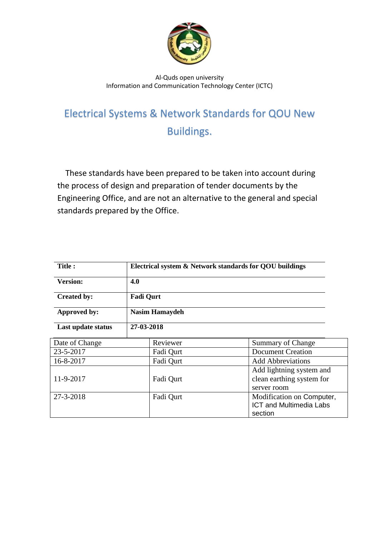

## Al-Quds open university Information and Communication Technology Center (ICTC)

## Electrical Systems & Network Standards for QOU New Buildings.

 These standards have been prepared to be taken into account during the process of design and preparation of tender documents by the Engineering Office, and are not an alternative to the general and special standards prepared by the Office.

| <b>Title:</b>      | Electrical system & Network standards for QOU buildings |                                                                        |
|--------------------|---------------------------------------------------------|------------------------------------------------------------------------|
| <b>Version:</b>    | 4.0                                                     |                                                                        |
| <b>Created by:</b> | <b>Fadi Qurt</b>                                        |                                                                        |
| Approved by:       | <b>Nasim Hamaydeh</b>                                   |                                                                        |
| Last update status | 27-03-2018                                              |                                                                        |
| Date of Change     | Reviewer                                                | Summary of Change                                                      |
| 23-5-2017          | Fadi Qurt                                               | <b>Document Creation</b>                                               |
| 16-8-2017          | Fadi Qurt                                               | <b>Add Abbreviations</b>                                               |
| 11-9-2017          | Fadi Qurt                                               | Add lightning system and<br>clean earthing system for<br>server room   |
| 27-3-2018          | Fadi Qurt                                               | Modification on Computer,<br><b>ICT and Multimedia Labs</b><br>section |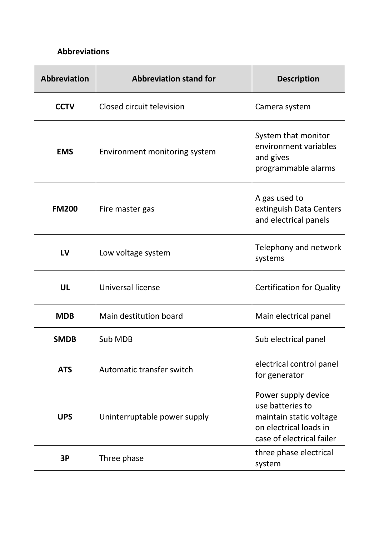## **Abbreviations**

| <b>Abbreviation</b> | <b>Abbreviation stand for</b> | <b>Description</b>                                                                                                        |
|---------------------|-------------------------------|---------------------------------------------------------------------------------------------------------------------------|
| <b>CCTV</b>         | Closed circuit television     | Camera system                                                                                                             |
| <b>EMS</b>          | Environment monitoring system | System that monitor<br>environment variables<br>and gives<br>programmable alarms                                          |
| <b>FM200</b>        | Fire master gas               | A gas used to<br>extinguish Data Centers<br>and electrical panels                                                         |
| LV                  | Low voltage system            | Telephony and network<br>systems                                                                                          |
| UL                  | Universal license             | <b>Certification for Quality</b>                                                                                          |
| <b>MDB</b>          | Main destitution board        | Main electrical panel                                                                                                     |
| <b>SMDB</b>         | Sub MDB                       | Sub electrical panel                                                                                                      |
| <b>ATS</b>          | Automatic transfer switch     | electrical control panel<br>for generator                                                                                 |
| <b>UPS</b>          | Uninterruptable power supply  | Power supply device<br>use batteries to<br>maintain static voltage<br>on electrical loads in<br>case of electrical failer |
| 3P                  | Three phase                   | three phase electrical<br>system                                                                                          |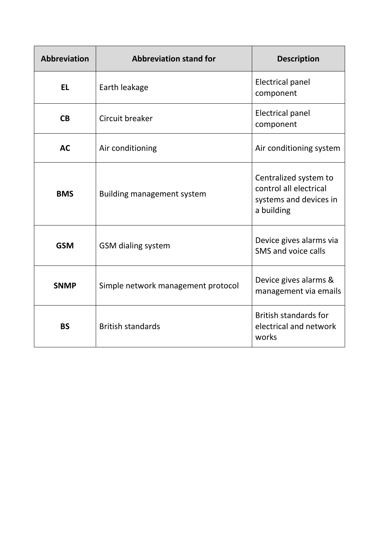| <b>Abbreviation</b> | <b>Abbreviation stand for</b>      | <b>Description</b>                                                                      |
|---------------------|------------------------------------|-----------------------------------------------------------------------------------------|
| <b>EL</b>           | Earth leakage                      | <b>Electrical panel</b><br>component                                                    |
| CB                  | Circuit breaker                    | <b>Electrical panel</b><br>component                                                    |
| <b>AC</b>           | Air conditioning                   | Air conditioning system                                                                 |
| <b>BMS</b>          | <b>Building management system</b>  | Centralized system to<br>control all electrical<br>systems and devices in<br>a building |
| <b>GSM</b>          | <b>GSM dialing system</b>          | Device gives alarms via<br>SMS and voice calls                                          |
| <b>SNMP</b>         | Simple network management protocol | Device gives alarms &<br>management via emails                                          |
| <b>BS</b>           | <b>British standards</b>           | <b>British standards for</b><br>electrical and network<br>works                         |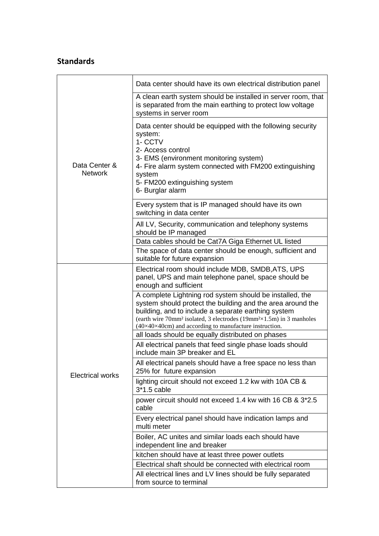## **Standards**

|                                 | Data center should have its own electrical distribution panel                                                                                                                                                                                                                                                                                       |
|---------------------------------|-----------------------------------------------------------------------------------------------------------------------------------------------------------------------------------------------------------------------------------------------------------------------------------------------------------------------------------------------------|
| Data Center &<br><b>Network</b> | A clean earth system should be installed in server room, that<br>is separated from the main earthing to protect low voltage<br>systems in server room                                                                                                                                                                                               |
|                                 | Data center should be equipped with the following security<br>system:<br>1- CCTV<br>2- Access control<br>3- EMS (environment monitoring system)<br>4- Fire alarm system connected with FM200 extinguishing<br>system<br>5- FM200 extinguishing system<br>6- Burglar alarm                                                                           |
|                                 | Every system that is IP managed should have its own<br>switching in data center                                                                                                                                                                                                                                                                     |
|                                 | All LV, Security, communication and telephony systems<br>should be IP managed                                                                                                                                                                                                                                                                       |
|                                 | Data cables should be Cat7A Giga Ethernet UL listed                                                                                                                                                                                                                                                                                                 |
|                                 | The space of data center should be enough, sufficient and<br>suitable for future expansion                                                                                                                                                                                                                                                          |
|                                 | Electrical room should include MDB, SMDB, ATS, UPS<br>panel, UPS and main telephone panel, space should be<br>enough and sufficient                                                                                                                                                                                                                 |
|                                 | A complete Lightning rod system should be installed, the<br>system should protect the building and the area around the<br>building, and to include a separate earthing system<br>(earth wire 70mm <sup>2</sup> isolated, 3 electrodes (19mm <sup>2</sup> ×1.5m) in 3 manholes<br>$(40\times40\times40cm)$ and according to manufacture instruction. |
|                                 | all loads should be equally distributed on phases                                                                                                                                                                                                                                                                                                   |
|                                 | All electrical panels that feed single phase loads should<br>include main 3P breaker and EL                                                                                                                                                                                                                                                         |
| <b>Electrical works</b>         | All electrical panels should have a free space no less than<br>25% for future expansion                                                                                                                                                                                                                                                             |
|                                 | lighting circuit should not exceed 1.2 kw with 10A CB &<br>$3*1.5$ cable                                                                                                                                                                                                                                                                            |
|                                 | power circuit should not exceed 1.4 kw with 16 CB & 3*2.5<br>cable                                                                                                                                                                                                                                                                                  |
|                                 | Every electrical panel should have indication lamps and<br>multi meter                                                                                                                                                                                                                                                                              |
|                                 | Boiler, AC unites and similar loads each should have<br>independent line and breaker                                                                                                                                                                                                                                                                |
|                                 | kitchen should have at least three power outlets                                                                                                                                                                                                                                                                                                    |
|                                 | Electrical shaft should be connected with electrical room                                                                                                                                                                                                                                                                                           |
|                                 | All electrical lines and LV lines should be fully separated<br>from source to terminal                                                                                                                                                                                                                                                              |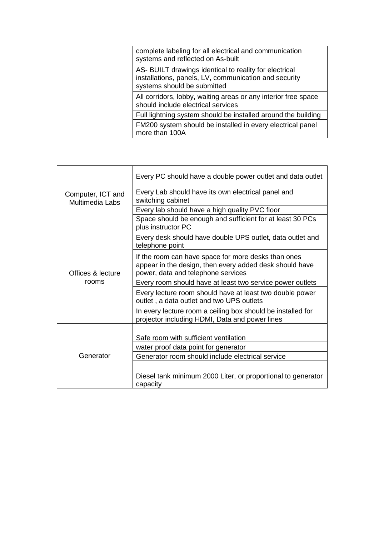|  | complete labeling for all electrical and communication<br>systems and reflected on As-built                                                    |
|--|------------------------------------------------------------------------------------------------------------------------------------------------|
|  | AS- BUILT drawings identical to reality for electrical<br>installations, panels, LV, communication and security<br>systems should be submitted |
|  | All corridors, lobby, waiting areas or any interior free space<br>should include electrical services                                           |
|  | Full lightning system should be installed around the building                                                                                  |
|  | FM200 system should be installed in every electrical panel<br>more than 100A                                                                   |

| Computer, ICT and<br>Multimedia Labs | Every PC should have a double power outlet and data outlet                                                                                           |
|--------------------------------------|------------------------------------------------------------------------------------------------------------------------------------------------------|
|                                      | Every Lab should have its own electrical panel and<br>switching cabinet                                                                              |
|                                      | Every lab should have a high quality PVC floor                                                                                                       |
|                                      | Space should be enough and sufficient for at least 30 PCs<br>plus instructor PC                                                                      |
| Offices & lecture                    | Every desk should have double UPS outlet, data outlet and<br>telephone point                                                                         |
|                                      | If the room can have space for more desks than ones<br>appear in the design, then every added desk should have<br>power, data and telephone services |
| rooms                                | Every room should have at least two service power outlets                                                                                            |
|                                      | Every lecture room should have at least two double power<br>outlet, a data outlet and two UPS outlets                                                |
|                                      | In every lecture room a ceiling box should be installed for<br>projector including HDMI, Data and power lines                                        |
| Generator                            | Safe room with sufficient ventilation                                                                                                                |
|                                      | water proof data point for generator                                                                                                                 |
|                                      | Generator room should include electrical service                                                                                                     |
|                                      | Diesel tank minimum 2000 Liter, or proportional to generator<br>capacity                                                                             |